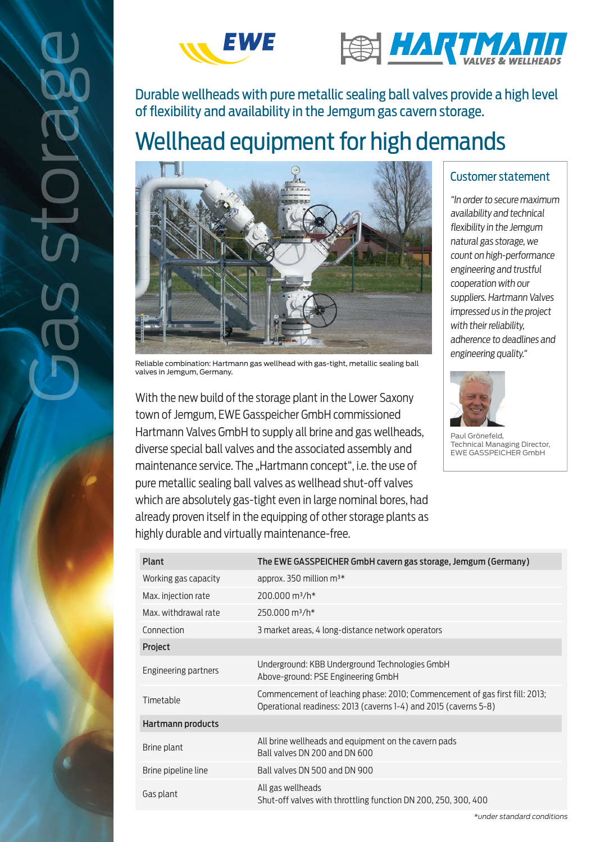



of flexibility and availability in the Jemgum gas cavern storage.

# Wellhead equipment for high demands



Reliable combination: Hartmann gas wellhead with gas-tight, metallic sealing ball valves in Jemgum, Germany.

With the new build of the storage plant in the Lower Saxony town of Jemgum, EWE Gasspeicher GmbH commissioned Hartmann Valves GmbH to supply all brine and gas wellheads, diverse special ball valves and the associated assembly and maintenance service. The "Hartmann concept", i.e. the use of pure metallic sealing ball valves as wellhead shut-off valves which are absolutely gas-tight even in large nominal bores, had already proven itself in the equipping of other storage plants as highly durable and virtually maintenance-free.

## Customer statement

"In order to secure maximum availability and technical flexibility in the Jemgum natural gas storage, we count on high-performance engineering and trustful cooperation with our suppliers. Hartmann Valves impressed us in the project with their reliability. adherence to deadlines and engineering quality."



Paul Grönefeld, Technical Managing Director, EWE GASSPEICHER GmbH

| Plant                | The EWE GASSPEICHER GmbH cavern gas storage, Jemgum (Germany)                                                                                   |
|----------------------|-------------------------------------------------------------------------------------------------------------------------------------------------|
| Working gas capacity | approx. 350 million m <sup>3*</sup>                                                                                                             |
| Max. injection rate  | 200.000 m <sup>3</sup> /h <sup>*</sup>                                                                                                          |
| Max. withdrawal rate | $250.000$ m <sup>3</sup> /h <sup>*</sup>                                                                                                        |
| Connection           | 3 market areas, 4 long-distance network operators                                                                                               |
| <b>Project</b>       |                                                                                                                                                 |
| Engineering partners | Underground: KBB Underground Technologies GmbH<br>Above-ground: PSE Engineering GmbH                                                            |
| Timetable            | Commencement of leaching phase: 2010; Commencement of gas first fill: 2013;<br>Operational readiness: 2013 (caverns 1-4) and 2015 (caverns 5-8) |
| Hartmann products    |                                                                                                                                                 |
| Brine plant          | All brine wellheads and equipment on the cavern pads<br>Ball valves DN 200 and DN 600                                                           |
| Brine pipeline line  | Ball valves DN 500 and DN 900                                                                                                                   |
| Gas plant            | All gas wellheads<br>Shut-off valves with throttling function DN 200, 250, 300, 400                                                             |